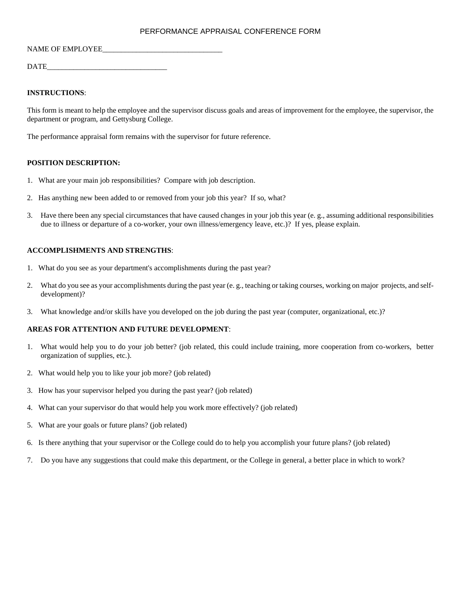# PERFORMANCE APPRAISAL CONFERENCE FORM

#### NAME OF EMPLOYEE

DATE\_\_\_\_\_\_\_\_\_\_\_\_\_\_\_\_\_\_\_\_\_\_\_\_\_\_\_\_\_\_\_\_

# **INSTRUCTIONS**:

This form is meant to help the employee and the supervisor discuss goals and areas of improvement for the employee, the supervisor, the department or program, and Gettysburg College.

The performance appraisal form remains with the supervisor for future reference.

## **POSITION DESCRIPTION:**

- 1. What are your main job responsibilities? Compare with job description.
- 2. Has anything new been added to or removed from your job this year? If so, what?
- 3. Have there been any special circumstances that have caused changes in your job this year (e. g., assuming additional responsibilities due to illness or departure of a co-worker, your own illness/emergency leave, etc.)? If yes, please explain.

## **ACCOMPLISHMENTS AND STRENGTHS**:

- 1. What do you see as your department's accomplishments during the past year?
- 2. What do you see as your accomplishments during the past year (e. g., teaching or taking courses, working on major projects, and selfdevelopment)?
- 3. What knowledge and/or skills have you developed on the job during the past year (computer, organizational, etc.)?

### **AREAS FOR ATTENTION AND FUTURE DEVELOPMENT**:

- 1. What would help you to do your job better? (job related, this could include training, more cooperation from co-workers, better organization of supplies, etc.).
- 2. What would help you to like your job more? (job related)
- 3. How has your supervisor helped you during the past year? (job related)
- 4. What can your supervisor do that would help you work more effectively? (job related)
- 5. What are your goals or future plans? (job related)
- 6. Is there anything that your supervisor or the College could do to help you accomplish your future plans? (job related)
- 7. Do you have any suggestions that could make this department, or the College in general, a better place in which to work?